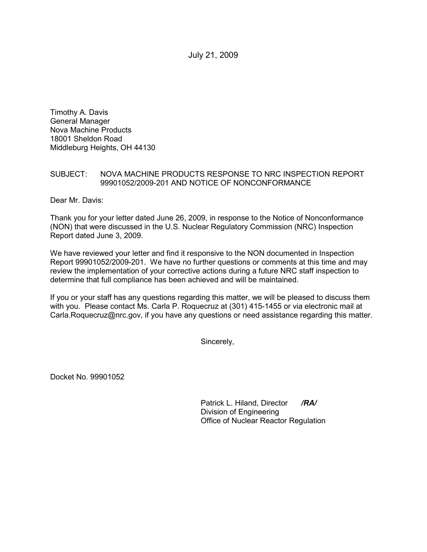July 21, 2009

Timothy A. Davis General Manager Nova Machine Products 18001 Sheldon Road Middleburg Heights, OH 44130

## SUBJECT: NOVA MACHINE PRODUCTS RESPONSE TO NRC INSPECTION REPORT 99901052/2009-201 AND NOTICE OF NONCONFORMANCE

Dear Mr. Davis:

Thank you for your letter dated June 26, 2009, in response to the Notice of Nonconformance (NON) that were discussed in the U.S. Nuclear Regulatory Commission (NRC) Inspection Report dated June 3, 2009.

We have reviewed your letter and find it responsive to the NON documented in Inspection Report 99901052/2009-201. We have no further questions or comments at this time and may review the implementation of your corrective actions during a future NRC staff inspection to determine that full compliance has been achieved and will be maintained.

If you or your staff has any questions regarding this matter, we will be pleased to discuss them with you. Please contact Ms. Carla P. Roquecruz at (301) 415-1455 or via electronic mail at Carla.Roquecruz@nrc.gov, if you have any questions or need assistance regarding this matter.

Sincerely,

Docket No. 99901052

Patrick L. Hiland, Director */RA/* Division of Engineering Office of Nuclear Reactor Regulation